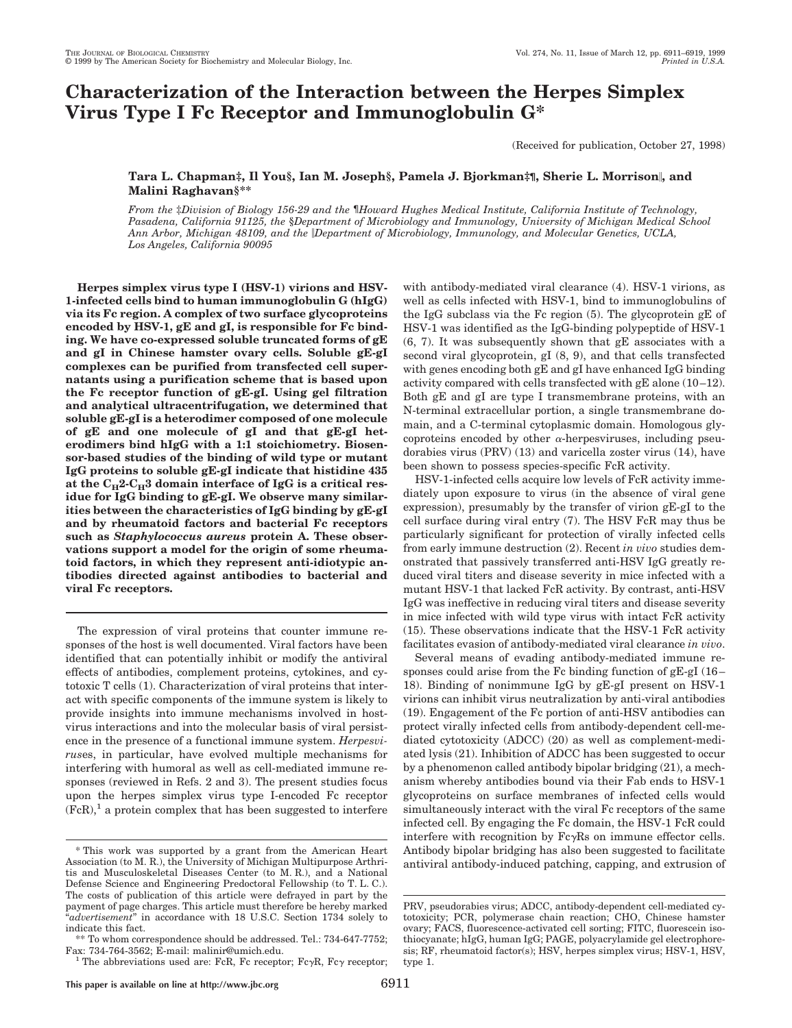# **Characterization of the Interaction between the Herpes Simplex Virus Type I Fc Receptor and Immunoglobulin G\***

(Received for publication, October 27, 1998)

# **Tara L. Chapman‡, Il You§, Ian M. Joseph§, Pamela J. Bjorkman‡¶, Sherie L. Morrison**i**, and Malini Raghavan§\*\***

*From the* ‡*Division of Biology 156-29 and the* ¶*Howard Hughes Medical Institute, California Institute of Technology, Pasadena, California 91125, the* §*Department of Microbiology and Immunology, University of Michigan Medical School Ann Arbor, Michigan 48109, and the* i*Department of Microbiology, Immunology, and Molecular Genetics, UCLA, Los Angeles, California 90095*

**Herpes simplex virus type I (HSV-1) virions and HSV-1-infected cells bind to human immunoglobulin G (hIgG) via its Fc region. A complex of two surface glycoproteins encoded by HSV-1, gE and gI, is responsible for Fc binding. We have co-expressed soluble truncated forms of gE and gI in Chinese hamster ovary cells. Soluble gE-gI complexes can be purified from transfected cell supernatants using a purification scheme that is based upon the Fc receptor function of gE-gI. Using gel filtration and analytical ultracentrifugation, we determined that soluble gE-gI is a heterodimer composed of one molecule of gE and one molecule of gI and that gE-gI heterodimers bind hIgG with a 1:1 stoichiometry. Biosensor-based studies of the binding of wild type or mutant IgG proteins to soluble gE-gI indicate that histidine 435** at the  $C_{\rm H}$ 2- $C_{\rm H}$ 3 domain interface of IgG is a critical res**idue for IgG binding to gE-gI. We observe many similarities between the characteristics of IgG binding by gE-gI and by rheumatoid factors and bacterial Fc receptors such as** *Staphylococcus aureus* **protein A. These observations support a model for the origin of some rheumatoid factors, in which they represent anti-idiotypic antibodies directed against antibodies to bacterial and viral Fc receptors.**

The expression of viral proteins that counter immune responses of the host is well documented. Viral factors have been identified that can potentially inhibit or modify the antiviral effects of antibodies, complement proteins, cytokines, and cytotoxic T cells (1). Characterization of viral proteins that interact with specific components of the immune system is likely to provide insights into immune mechanisms involved in hostvirus interactions and into the molecular basis of viral persistence in the presence of a functional immune system. *Herpesvirus*es, in particular, have evolved multiple mechanisms for interfering with humoral as well as cell-mediated immune responses (reviewed in Refs. 2 and 3). The present studies focus upon the herpes simplex virus type I-encoded Fc receptor  $(FcR)<sup>1</sup>$  a protein complex that has been suggested to interfere with antibody-mediated viral clearance (4). HSV-1 virions, as well as cells infected with HSV-1, bind to immunoglobulins of the IgG subclass via the Fc region (5). The glycoprotein gE of HSV-1 was identified as the IgG-binding polypeptide of HSV-1 (6, 7). It was subsequently shown that gE associates with a second viral glycoprotein, gI (8, 9), and that cells transfected with genes encoding both gE and gI have enhanced IgG binding activity compared with cells transfected with gE alone (10–12). Both gE and gI are type I transmembrane proteins, with an N-terminal extracellular portion, a single transmembrane domain, and a C-terminal cytoplasmic domain. Homologous glycoproteins encoded by other  $\alpha$ -herpesviruses, including pseudorabies virus (PRV) (13) and varicella zoster virus (14), have been shown to possess species-specific FcR activity.

HSV-1-infected cells acquire low levels of FcR activity immediately upon exposure to virus (in the absence of viral gene expression), presumably by the transfer of virion gE-gI to the cell surface during viral entry (7). The HSV FcR may thus be particularly significant for protection of virally infected cells from early immune destruction (2). Recent *in vivo* studies demonstrated that passively transferred anti-HSV IgG greatly reduced viral titers and disease severity in mice infected with a mutant HSV-1 that lacked FcR activity. By contrast, anti-HSV IgG was ineffective in reducing viral titers and disease severity in mice infected with wild type virus with intact FcR activity (15). These observations indicate that the HSV-1 FcR activity facilitates evasion of antibody-mediated viral clearance *in vivo*.

Several means of evading antibody-mediated immune responses could arise from the Fc binding function of gE-gI (16– 18). Binding of nonimmune IgG by gE-gI present on HSV-1 virions can inhibit virus neutralization by anti-viral antibodies (19). Engagement of the Fc portion of anti-HSV antibodies can protect virally infected cells from antibody-dependent cell-mediated cytotoxicity (ADCC) (20) as well as complement-mediated lysis (21). Inhibition of ADCC has been suggested to occur by a phenomenon called antibody bipolar bridging (21), a mechanism whereby antibodies bound via their Fab ends to HSV-1 glycoproteins on surface membranes of infected cells would simultaneously interact with the viral Fc receptors of the same infected cell. By engaging the Fc domain, the HSV-1 FcR could interfere with recognition by  $Fc\gamma Rs$  on immune effector cells. Antibody bipolar bridging has also been suggested to facilitate antiviral antibody-induced patching, capping, and extrusion of

<sup>\*</sup> This work was supported by a grant from the American Heart Association (to M. R.), the University of Michigan Multipurpose Arthritis and Musculoskeletal Diseases Center (to M. R.), and a National Defense Science and Engineering Predoctoral Fellowship (to T. L. C.). The costs of publication of this article were defrayed in part by the payment of page charges. This article must therefore be hereby marked "*advertisement*" in accordance with 18 U.S.C. Section 1734 solely to indicate this fact.

To whom correspondence should be addressed. Tel.: 734-647-7752; Fax: 734-764-3562; E-mail: malinir@umich.edu.<br><sup>1</sup> The abbreviations used are: FcR, Fc receptor; Fc<sub>y</sub>R, Fc<sub>y</sub> receptor;

PRV, pseudorabies virus; ADCC, antibody-dependent cell-mediated cytotoxicity; PCR, polymerase chain reaction; CHO, Chinese hamster ovary; FACS, fluorescence-activated cell sorting; FITC, fluorescein isothiocyanate; hIgG, human IgG; PAGE, polyacrylamide gel electrophoresis; RF, rheumatoid factor(s); HSV, herpes simplex virus; HSV-1, HSV, type 1.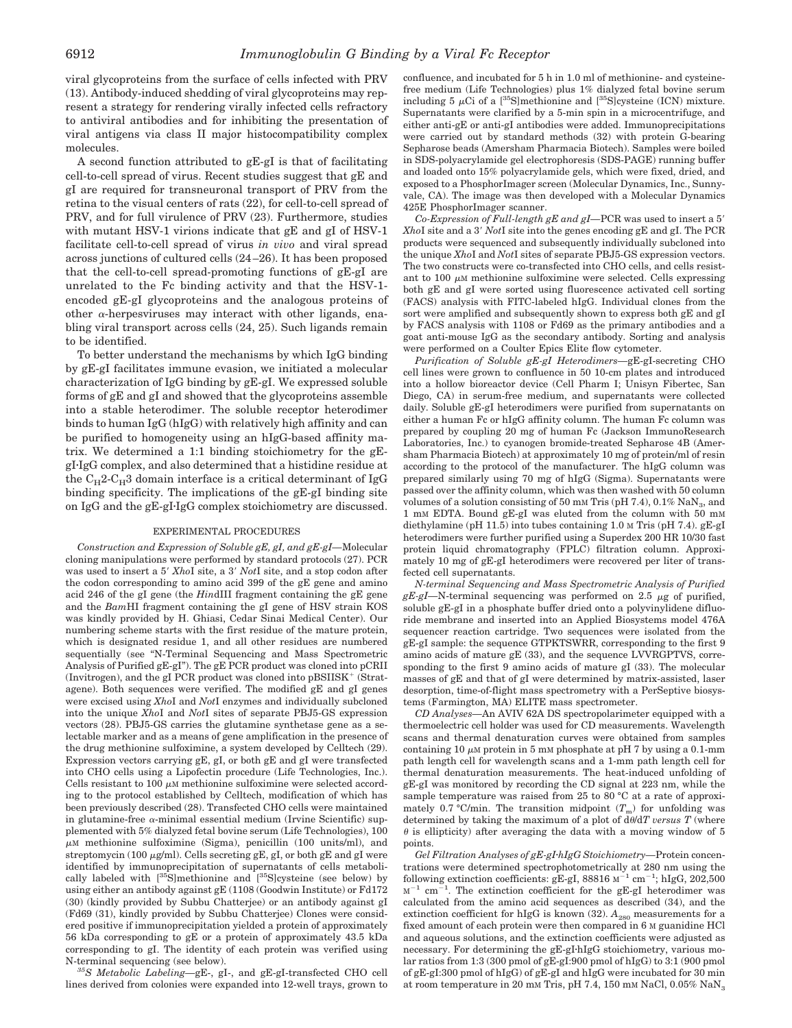viral glycoproteins from the surface of cells infected with PRV (13). Antibody-induced shedding of viral glycoproteins may represent a strategy for rendering virally infected cells refractory to antiviral antibodies and for inhibiting the presentation of viral antigens via class II major histocompatibility complex molecules.

A second function attributed to gE-gI is that of facilitating cell-to-cell spread of virus. Recent studies suggest that gE and gI are required for transneuronal transport of PRV from the retina to the visual centers of rats (22), for cell-to-cell spread of PRV, and for full virulence of PRV (23). Furthermore, studies with mutant HSV-1 virions indicate that gE and gI of HSV-1 facilitate cell-to-cell spread of virus *in vivo* and viral spread across junctions of cultured cells (24–26). It has been proposed that the cell-to-cell spread-promoting functions of gE-gI are unrelated to the Fc binding activity and that the HSV-1 encoded gE-gI glycoproteins and the analogous proteins of other  $\alpha$ -herpesviruses may interact with other ligands, enabling viral transport across cells (24, 25). Such ligands remain to be identified.

To better understand the mechanisms by which IgG binding by gE-gI facilitates immune evasion, we initiated a molecular characterization of IgG binding by gE-gI. We expressed soluble forms of gE and gI and showed that the glycoproteins assemble into a stable heterodimer. The soluble receptor heterodimer binds to human IgG (hIgG) with relatively high affinity and can be purified to homogeneity using an hIgG-based affinity matrix. We determined a 1:1 binding stoichiometry for the gEgI·IgG complex, and also determined that a histidine residue at the  $C_{H}$ 2-C<sub>H</sub>3 domain interface is a critical determinant of IgG binding specificity. The implications of the gE-gI binding site on IgG and the gE-gI·IgG complex stoichiometry are discussed.

## EXPERIMENTAL PROCEDURES

*Construction and Expression of Soluble gE, gI, and gE-gI—*Molecular cloning manipulations were performed by standard protocols (27). PCR was used to insert a 5' XhoI site, a 3' NotI site, and a stop codon after the codon corresponding to amino acid 399 of the gE gene and amino acid 246 of the gI gene (the *Hin*dIII fragment containing the gE gene and the *Bam*HI fragment containing the gI gene of HSV strain KOS was kindly provided by H. Ghiasi, Cedar Sinai Medical Center). Our numbering scheme starts with the first residue of the mature protein, which is designated residue 1, and all other residues are numbered sequentially (see "N-Terminal Sequencing and Mass Spectrometric Analysis of Purified gE-gI"). The gE PCR product was cloned into pCRII (Invitrogen), and the gI PCR product was cloned into  $pBSIISK^+$  (Stratagene). Both sequences were verified. The modified gE and gI genes were excised using *Xho*I and *Not*I enzymes and individually subcloned into the unique *Xho*I and *Not*I sites of separate PBJ5-GS expression vectors (28). PBJ5-GS carries the glutamine synthetase gene as a selectable marker and as a means of gene amplification in the presence of the drug methionine sulfoximine, a system developed by Celltech (29). Expression vectors carrying gE, gI, or both gE and gI were transfected into CHO cells using a Lipofectin procedure (Life Technologies, Inc.). Cells resistant to 100  $\mu$ M methionine sulfoximine were selected according to the protocol established by Celltech, modification of which has been previously described (28). Transfected CHO cells were maintained in glutamine-free  $\alpha$ -minimal essential medium (Irvine Scientific) supplemented with 5% dialyzed fetal bovine serum (Life Technologies), 100  $\mu$ M methionine sulfoximine (Sigma), penicillin (100 units/ml), and streptomycin (100  $\mu$ g/ml). Cells secreting gE, gI, or both gE and gI were identified by immunoprecipitation of supernatants of cells metabolically labeled with [35S]methionine and [35S]cysteine (see below) by using either an antibody against gE (1108 (Goodwin Institute) or Fd172 (30) (kindly provided by Subbu Chatterjee) or an antibody against gI (Fd69 (31), kindly provided by Subbu Chatterjee) Clones were considered positive if immunoprecipitation yielded a protein of approximately 56 kDa corresponding to gE or a protein of approximately 43.5 kDa corresponding to gI. The identity of each protein was verified using N-terminal sequencing (see below).

*35S Metabolic Labeling—*gE-, gI-, and gE-gI-transfected CHO cell lines derived from colonies were expanded into 12-well trays, grown to

confluence, and incubated for 5 h in 1.0 ml of methionine- and cysteinefree medium (Life Technologies) plus 1% dialyzed fetal bovine serum including 5  $\mu$ Ci of a [<sup>35</sup>S]methionine and [<sup>35</sup>S]cysteine (ICN) mixture. Supernatants were clarified by a 5-min spin in a microcentrifuge, and either anti-gE or anti-gI antibodies were added. Immunoprecipitations were carried out by standard methods (32) with protein G-bearing Sepharose beads (Amersham Pharmacia Biotech). Samples were boiled in SDS-polyacrylamide gel electrophoresis (SDS-PAGE) running buffer and loaded onto 15% polyacrylamide gels, which were fixed, dried, and exposed to a PhosphorImager screen (Molecular Dynamics, Inc., Sunnyvale, CA). The image was then developed with a Molecular Dynamics 425E PhosphorImager scanner.

*Co-Expression of Full-length gE and gI*—PCR was used to insert a 5<sup>'</sup> *XhoI* site and a 3' *NotI* site into the genes encoding gE and gI. The PCR products were sequenced and subsequently individually subcloned into the unique *Xho*I and *Not*I sites of separate PBJ5-GS expression vectors. The two constructs were co-transfected into CHO cells, and cells resistant to  $100 \mu$ M methionine sulfoximine were selected. Cells expressing both gE and gI were sorted using fluorescence activated cell sorting (FACS) analysis with FITC-labeled hIgG. Individual clones from the sort were amplified and subsequently shown to express both gE and gI by FACS analysis with 1108 or Fd69 as the primary antibodies and a goat anti-mouse IgG as the secondary antibody. Sorting and analysis were performed on a Coulter Epics Elite flow cytometer.

*Purification of Soluble gE-gI Heterodimers—*gE-gI-secreting CHO cell lines were grown to confluence in 50 10-cm plates and introduced into a hollow bioreactor device (Cell Pharm I; Unisyn Fibertec, San Diego, CA) in serum-free medium, and supernatants were collected daily. Soluble gE-gI heterodimers were purified from supernatants on either a human Fc or hIgG affinity column. The human Fc column was prepared by coupling 20 mg of human Fc (Jackson ImmunoResearch Laboratories, Inc.) to cyanogen bromide-treated Sepharose 4B (Amersham Pharmacia Biotech) at approximately 10 mg of protein/ml of resin according to the protocol of the manufacturer. The hIgG column was prepared similarly using 70 mg of hIgG (Sigma). Supernatants were passed over the affinity column, which was then washed with 50 column volumes of a solution consisting of 50 mm Tris (pH 7.4),  $0.1\%$  NaN<sub>3</sub>, and 1 mM EDTA. Bound gE-gI was eluted from the column with 50 mM diethylamine (pH 11.5) into tubes containing 1.0 M Tris (pH 7.4).  $gE-gI$ heterodimers were further purified using a Superdex 200 HR 10/30 fast protein liquid chromatography (FPLC) filtration column. Approximately 10 mg of gE-gI heterodimers were recovered per liter of transfected cell supernatants.

*N-terminal Sequencing and Mass Spectrometric Analysis of Purified*  $gE-gI$ —N-terminal sequencing was performed on 2.5  $\mu$ g of purified, soluble gE-gI in a phosphate buffer dried onto a polyvinylidene difluoride membrane and inserted into an Applied Biosystems model 476A sequencer reaction cartridge. Two sequences were isolated from the gE-gI sample: the sequence GTPKTSWRR, corresponding to the first 9 amino acids of mature gE (33), and the sequence LVVRGPTVS, corresponding to the first 9 amino acids of mature gI (33). The molecular masses of gE and that of gI were determined by matrix-assisted, laser desorption, time-of-flight mass spectrometry with a PerSeptive biosystems (Farmington, MA) ELITE mass spectrometer.

*CD Analyses—*An AVIV 62A DS spectropolarimeter equipped with a thermoelectric cell holder was used for CD measurements. Wavelength scans and thermal denaturation curves were obtained from samples containing 10  $\mu$ M protein in 5 mM phosphate at pH 7 by using a 0.1-mm path length cell for wavelength scans and a 1-mm path length cell for thermal denaturation measurements. The heat-induced unfolding of gE-gI was monitored by recording the CD signal at 223 nm, while the sample temperature was raised from 25 to 80 °C at a rate of approximately 0.7 °C/min. The transition midpoint  $(T_m)$  for unfolding was determined by taking the maximum of a plot of  $d\theta/dT$  versus  $T$  (where  $\theta$  is ellipticity) after averaging the data with a moving window of 5 points.

*Gel Filtration Analyses of gE-gI*z*hIgG Stoichiometry—*Protein concentrations were determined spectrophotometrically at 280 nm using the following extinction coefficients:  $gE-gI$ , 88816  $M^{-1}$  cm<sup>-1</sup>; hIgG, 202,500  $M^{-1}$  cm<sup>-1</sup>. The extinction coefficient for the gE-gI heterodimer was calculated from the amino acid sequences as described (34), and the extinction coefficient for hIgG is known  $(32)$ .  $A_{280}$  measurements for a fixed amount of each protein were then compared in 6 M guanidine HCl and aqueous solutions, and the extinction coefficients were adjusted as necessary. For determining the  $gE-gI$ -hIgG stoichiometry, various molar ratios from 1:3 (300 pmol of gE-gI:900 pmol of hIgG) to 3:1 (900 pmol of gE-gI:300 pmol of hIgG) of gE-gI and hIgG were incubated for 30 min at room temperature in 20 mM Tris, pH 7.4, 150 mM NaCl, 0.05% NaN3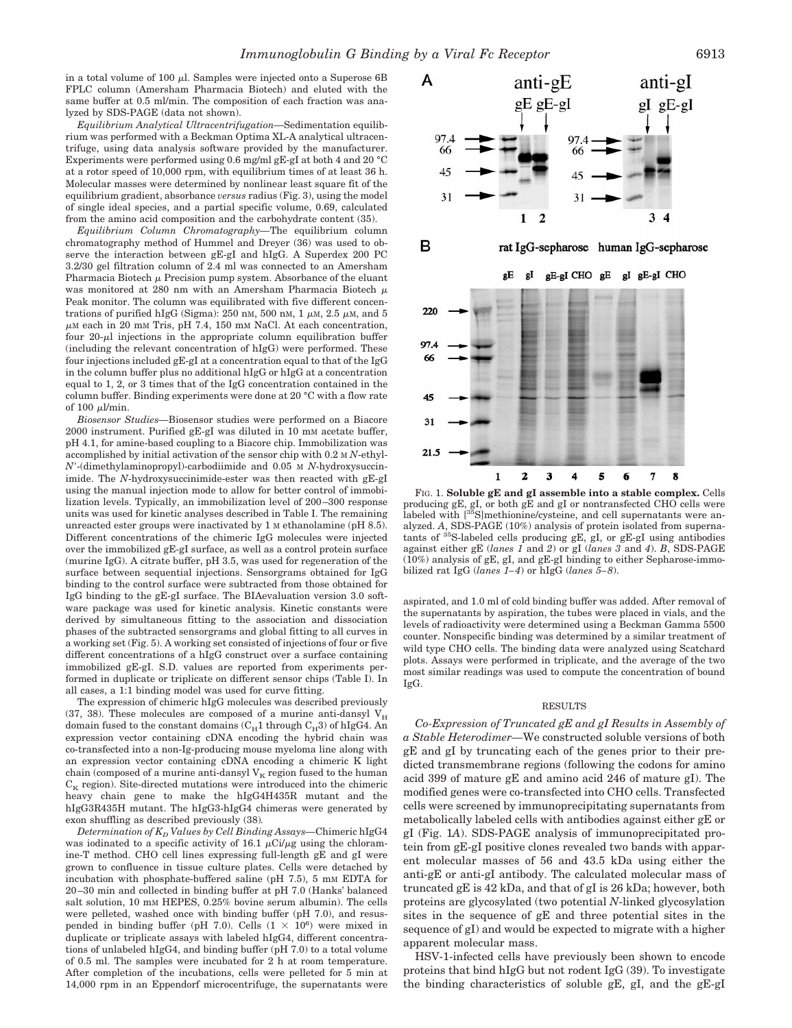in a total volume of 100  $\mu$ l. Samples were injected onto a Superose 6B FPLC column (Amersham Pharmacia Biotech) and eluted with the same buffer at 0.5 ml/min. The composition of each fraction was analyzed by SDS-PAGE (data not shown).

*Equilibrium Analytical Ultracentrifugation—*Sedimentation equilibrium was performed with a Beckman Optima XL-A analytical ultracentrifuge, using data analysis software provided by the manufacturer. Experiments were performed using 0.6 mg/ml gE-gI at both 4 and 20 °C at a rotor speed of 10,000 rpm, with equilibrium times of at least 36 h. Molecular masses were determined by nonlinear least square fit of the equilibrium gradient, absorbance *versus* radius (Fig. 3), using the model of single ideal species, and a partial specific volume, 0.69, calculated from the amino acid composition and the carbohydrate content (35).

*Equilibrium Column Chromatography—*The equilibrium column chromatography method of Hummel and Dreyer (36) was used to observe the interaction between gE-gI and hIgG. A Superdex 200 PC 3.2/30 gel filtration column of 2.4 ml was connected to an Amersham Pharmacia Biotech  $\mu$  Precision pump system. Absorbance of the eluant was monitored at 280 nm with an Amersham Pharmacia Biotech  $\mu$ Peak monitor. The column was equilibrated with five different concentrations of purified hIgG (Sigma): 250 nm, 500 nm, 1  $\mu$ m, 2.5  $\mu$ m, and 5  $\mu$ M each in 20 mM Tris, pH 7.4, 150 mM NaCl. At each concentration, four  $20-\mu l$  injections in the appropriate column equilibration buffer (including the relevant concentration of hIgG) were performed. These four injections included gE-gI at a concentration equal to that of the IgG in the column buffer plus no additional hIgG or hIgG at a concentration equal to 1, 2, or 3 times that of the IgG concentration contained in the column buffer. Binding experiments were done at 20 °C with a flow rate of  $100 \mu$ l/min.

*Biosensor Studies—*Biosensor studies were performed on a Biacore 2000 instrument. Purified gE-gI was diluted in 10 mM acetate buffer, pH 4.1, for amine-based coupling to a Biacore chip. Immobilization was accomplished by initial activation of the sensor chip with 0.2 M *N*-ethyl-*N*9-(dimethylaminopropyl)-carbodiimide and 0.05 M *N*-hydroxysuccinimide. The *N*-hydroxysuccinimide-ester was then reacted with gE-gI using the manual injection mode to allow for better control of immobilization levels. Typically, an immobilization level of 200–300 response units was used for kinetic analyses described in Table I. The remaining unreacted ester groups were inactivated by 1 M ethanolamine (pH 8.5). Different concentrations of the chimeric IgG molecules were injected over the immobilized gE-gI surface, as well as a control protein surface (murine IgG). A citrate buffer, pH 3.5, was used for regeneration of the surface between sequential injections. Sensorgrams obtained for IgG binding to the control surface were subtracted from those obtained for IgG binding to the gE-gI surface. The BIAevaluation version 3.0 software package was used for kinetic analysis. Kinetic constants were derived by simultaneous fitting to the association and dissociation phases of the subtracted sensorgrams and global fitting to all curves in a working set (Fig. 5). A working set consisted of injections of four or five different concentrations of a hIgG construct over a surface containing immobilized gE-gI. S.D. values are reported from experiments performed in duplicate or triplicate on different sensor chips (Table I). In all cases, a 1:1 binding model was used for curve fitting.

The expression of chimeric hIgG molecules was described previously (37, 38). These molecules are composed of a murine anti-dansyl  $V_H$ domain fused to the constant domains  $(C_H1$  through  $C_H3$ ) of hIgG4. An expression vector containing cDNA encoding the hybrid chain was co-transfected into a non-Ig-producing mouse myeloma line along with an expression vector containing cDNA encoding a chimeric K light chain (composed of a murine anti-dansyl  $V_K$  region fused to the human  $C_K$  region). Site-directed mutations were introduced into the chimeric heavy chain gene to make the hIgG4H435R mutant and the hIgG3R435H mutant. The hIgG3-hIgG4 chimeras were generated by exon shuffling as described previously (38)*.*

*Determination of KD Values by Cell Binding Assays—*Chimeric hIgG4 was iodinated to a specific activity of 16.1  $\mu$ Ci/ $\mu$ g using the chloramine-T method. CHO cell lines expressing full-length gE and gI were grown to confluence in tissue culture plates. Cells were detached by incubation with phosphate-buffered saline (pH 7.5), 5 mM EDTA for 20–30 min and collected in binding buffer at pH 7.0 (Hanks' balanced salt solution, 10 mM HEPES,  $0.25\%$  bovine serum albumin). The cells were pelleted, washed once with binding buffer (pH 7.0), and resuspended in binding buffer (pH 7.0). Cells  $(1 \times 10^6)$  were mixed in duplicate or triplicate assays with labeled hIgG4, different concentrations of unlabeled hIgG4, and binding buffer (pH 7.0) to a total volume of 0.5 ml. The samples were incubated for 2 h at room temperature. After completion of the incubations, cells were pelleted for 5 min at 14,000 rpm in an Eppendorf microcentrifuge, the supernatants were



FIG. 1. **Soluble gE and gI assemble into a stable complex.** Cells producing gE, gI, or both gE and gI or nontransfected CHO cells were labeled with [35S]methionine/cysteine, and cell supernatants were analyzed. *A*, SDS-PAGE (10%) analysis of protein isolated from supernatants of  ${}^{35}S$ -labeled cells producing gE, gI, or gE-gI using antibodies against either gE (*lanes 1* and *2*) or gI (*lanes 3* and *4*). *B*, SDS-PAGE (10%) analysis of gE, gI, and gE-gI binding to either Sepharose-immobilized rat IgG (*lanes 1–4*) or hIgG (*lanes 5–8*).

aspirated, and 1.0 ml of cold binding buffer was added. After removal of the supernatants by aspiration, the tubes were placed in vials, and the levels of radioactivity were determined using a Beckman Gamma 5500 counter. Nonspecific binding was determined by a similar treatment of wild type CHO cells. The binding data were analyzed using Scatchard plots. Assays were performed in triplicate, and the average of the two most similar readings was used to compute the concentration of bound IgG.

#### RESULTS

*Co-Expression of Truncated gE and gI Results in Assembly of a Stable Heterodimer—*We constructed soluble versions of both gE and gI by truncating each of the genes prior to their predicted transmembrane regions (following the codons for amino acid 399 of mature gE and amino acid 246 of mature gI). The modified genes were co-transfected into CHO cells. Transfected cells were screened by immunoprecipitating supernatants from metabolically labeled cells with antibodies against either gE or gI (Fig. 1*A*). SDS-PAGE analysis of immunoprecipitated protein from gE-gI positive clones revealed two bands with apparent molecular masses of 56 and 43.5 kDa using either the anti-gE or anti-gI antibody. The calculated molecular mass of truncated gE is 42 kDa, and that of gI is 26 kDa; however, both proteins are glycosylated (two potential *N*-linked glycosylation sites in the sequence of gE and three potential sites in the sequence of gI) and would be expected to migrate with a higher apparent molecular mass.

HSV-1-infected cells have previously been shown to encode proteins that bind hIgG but not rodent IgG (39). To investigate the binding characteristics of soluble gE, gI, and the gE-gI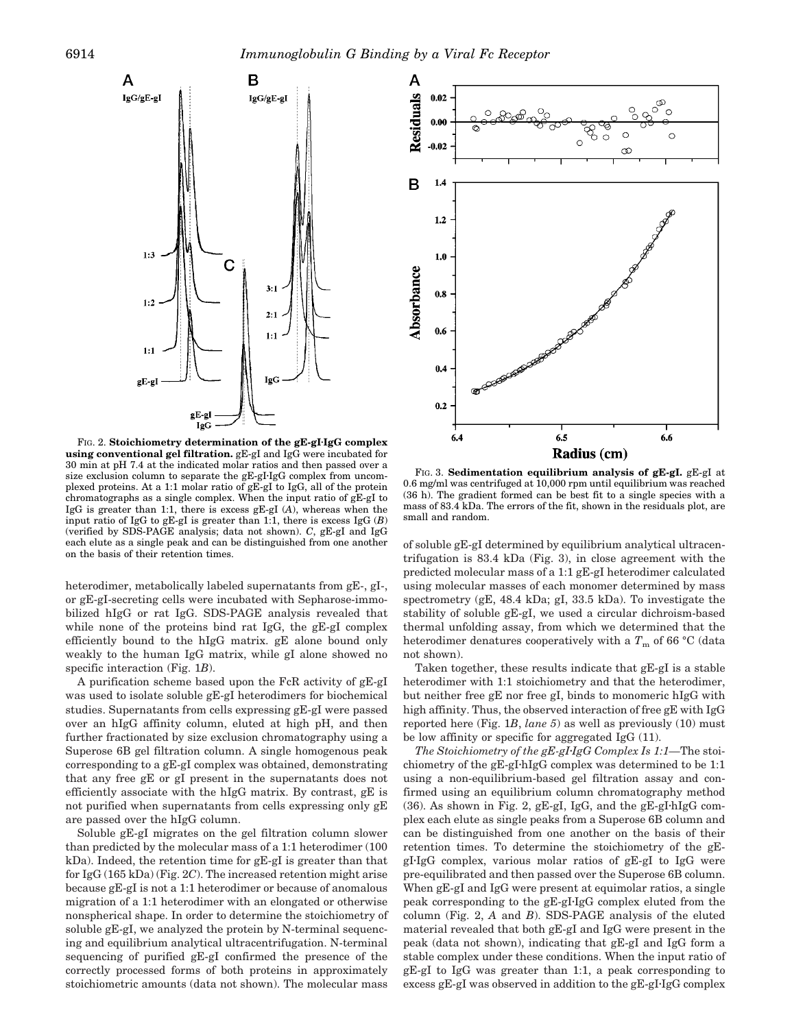

FIG. 2. Stoichiometry determination of the gE-gI·IgG complex **using conventional gel filtration.** gE-gI and IgG were incubated for 30 min at pH 7.4 at the indicated molar ratios and then passed over a size exclusion column to separate the gE-gI-IgG complex from uncomplexed proteins. At a 1:1 molar ratio of gE-gI to IgG, all of the protein chromatographs as a single complex. When the input ratio of gE-gI to IgG is greater than 1:1, there is excess gE-gI (*A*), whereas when the input ratio of IgG to gE-gI is greater than 1:1, there is excess IgG (*B*) (verified by SDS-PAGE analysis; data not shown). *C*, gE-gI and IgG each elute as a single peak and can be distinguished from one another on the basis of their retention times.

heterodimer, metabolically labeled supernatants from gE-, gI-, or gE-gI-secreting cells were incubated with Sepharose-immobilized hIgG or rat IgG. SDS-PAGE analysis revealed that while none of the proteins bind rat IgG, the gE-gI complex efficiently bound to the hIgG matrix. gE alone bound only weakly to the human IgG matrix, while gI alone showed no specific interaction (Fig. 1*B*).

A purification scheme based upon the FcR activity of gE-gI was used to isolate soluble gE-gI heterodimers for biochemical studies. Supernatants from cells expressing gE-gI were passed over an hIgG affinity column, eluted at high pH, and then further fractionated by size exclusion chromatography using a Superose 6B gel filtration column. A single homogenous peak corresponding to a gE-gI complex was obtained, demonstrating that any free gE or gI present in the supernatants does not efficiently associate with the hIgG matrix. By contrast, gE is not purified when supernatants from cells expressing only gE are passed over the hIgG column.

Soluble gE-gI migrates on the gel filtration column slower than predicted by the molecular mass of a 1:1 heterodimer (100 kDa). Indeed, the retention time for gE-gI is greater than that for IgG (165 kDa) (Fig. 2*C*). The increased retention might arise because gE-gI is not a 1:1 heterodimer or because of anomalous migration of a 1:1 heterodimer with an elongated or otherwise nonspherical shape. In order to determine the stoichiometry of soluble gE-gI, we analyzed the protein by N-terminal sequencing and equilibrium analytical ultracentrifugation. N-terminal sequencing of purified gE-gI confirmed the presence of the correctly processed forms of both proteins in approximately stoichiometric amounts (data not shown). The molecular mass



FIG. 3. **Sedimentation equilibrium analysis of gE-gI.** gE-gI at 0.6 mg/ml was centrifuged at 10,000 rpm until equilibrium was reached (36 h). The gradient formed can be best fit to a single species with a mass of 83.4 kDa. The errors of the fit, shown in the residuals plot, are small and random.

of soluble gE-gI determined by equilibrium analytical ultracentrifugation is 83.4 kDa (Fig. 3), in close agreement with the predicted molecular mass of a 1:1 gE-gI heterodimer calculated using molecular masses of each monomer determined by mass spectrometry (gE, 48.4 kDa; gI, 33.5 kDa). To investigate the stability of soluble gE-gI, we used a circular dichroism-based thermal unfolding assay, from which we determined that the heterodimer denatures cooperatively with a  $T<sub>m</sub>$  of 66 °C (data not shown).

Taken together, these results indicate that gE-gI is a stable heterodimer with 1:1 stoichiometry and that the heterodimer, but neither free gE nor free gI, binds to monomeric hIgG with high affinity. Thus, the observed interaction of free gE with IgG reported here (Fig. 1*B*, *lane 5*) as well as previously (10) must be low affinity or specific for aggregated IgG (11).

*The Stoichiometry of the gE-gI-IgG Complex Is 1:1—The stoi*chiometry of the  $gE-gI$ ·hIgG complex was determined to be 1:1 using a non-equilibrium-based gel filtration assay and confirmed using an equilibrium column chromatography method  $(36)$ . As shown in Fig. 2, gE-gI, IgG, and the gE-gI-hIgG complex each elute as single peaks from a Superose 6B column and can be distinguished from one another on the basis of their retention times. To determine the stoichiometry of the gE $gI·IgG$  complex, various molar ratios of  $gE-gI$  to IgG were pre-equilibrated and then passed over the Superose 6B column. When gE-gI and IgG were present at equimolar ratios, a single peak corresponding to the  $gE-gI\cdot IgG$  complex eluted from the column (Fig. 2, *A* and *B*). SDS-PAGE analysis of the eluted material revealed that both gE-gI and IgG were present in the peak (data not shown), indicating that gE-gI and IgG form a stable complex under these conditions. When the input ratio of gE-gI to IgG was greater than 1:1, a peak corresponding to excess  $gE-gI$  was observed in addition to the  $gE-gI·IgG$  complex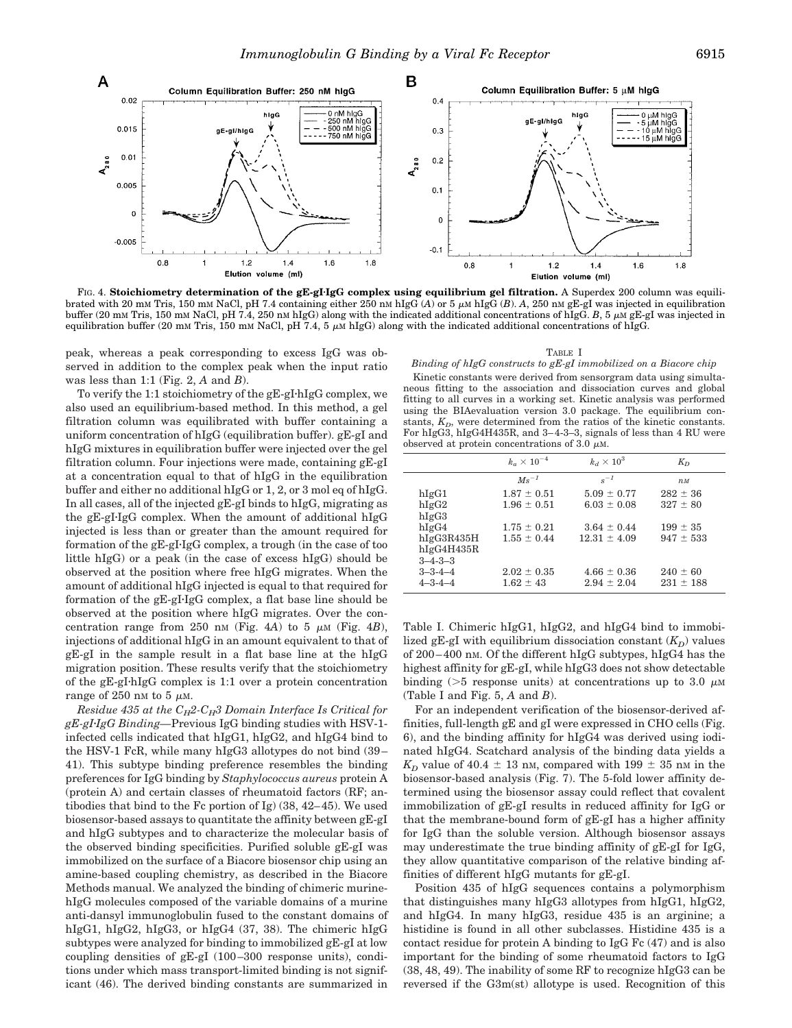

FIG. 4. **Stoichiometry determination of the gE-gI**z**IgG complex using equilibrium gel filtration.** A Superdex 200 column was equilibrated with 20 mM Tris, 150 mM NaCl, pH 7.4 containing either 250 nM hIgG  $(A)$  or 5  $\mu$ M hIgG  $(B)$ . A, 250 nM gE-gI was injected in equilibration buffer (20 mM Tris, 150 mM NaCl, pH 7.4, 250 nM hIgG) along with the indicated additional concentrations of hIgG. *B*, 5  $\mu$ M gE-gI was injected in equilibration buffer (20 mM Tris, 150 mM NaCl, pH 7.4, 5  $\mu$ M hIgG) along with the indicated additional concentrations of hIgG.

peak, whereas a peak corresponding to excess IgG was observed in addition to the complex peak when the input ratio was less than 1:1 (Fig. 2, *A* and *B*).

To verify the 1:1 stoichiometry of the  $gE-gI$ ·hIgG complex, we also used an equilibrium-based method. In this method, a gel filtration column was equilibrated with buffer containing a uniform concentration of hIgG (equilibration buffer). gE-gI and hIgG mixtures in equilibration buffer were injected over the gel filtration column. Four injections were made, containing gE-gI at a concentration equal to that of hIgG in the equilibration buffer and either no additional hIgG or 1, 2, or 3 mol eq of hIgG. In all cases, all of the injected gE-gI binds to hIgG, migrating as the  $gE-gI-IgG$  complex. When the amount of additional hIgG injected is less than or greater than the amount required for formation of the  $gE-gI-IgG$  complex, a trough (in the case of too little hIgG) or a peak (in the case of excess hIgG) should be observed at the position where free hIgG migrates. When the amount of additional hIgG injected is equal to that required for formation of the  $gE-gI·IgG$  complex, a flat base line should be observed at the position where hIgG migrates. Over the concentration range from 250 nm (Fig. 4A) to 5  $\mu$ M (Fig. 4*B*), injections of additional hIgG in an amount equivalent to that of gE-gI in the sample result in a flat base line at the hIgG migration position. These results verify that the stoichiometry of the gE-gI-hIgG complex is 1:1 over a protein concentration range of 250 nm to 5  $\mu$ M.

*Residue 435 at the*  $C_H2-C_H3$  *Domain Interface Is Critical for gE-gI*z*IgG Binding—*Previous IgG binding studies with HSV-1 infected cells indicated that hIgG1, hIgG2, and hIgG4 bind to the HSV-1 FcR, while many hIgG3 allotypes do not bind (39– 41). This subtype binding preference resembles the binding preferences for IgG binding by *Staphylococcus aureus* protein A (protein A) and certain classes of rheumatoid factors (RF; antibodies that bind to the Fc portion of Ig) (38, 42–45). We used biosensor-based assays to quantitate the affinity between gE-gI and hIgG subtypes and to characterize the molecular basis of the observed binding specificities. Purified soluble gE-gI was immobilized on the surface of a Biacore biosensor chip using an amine-based coupling chemistry, as described in the Biacore Methods manual. We analyzed the binding of chimeric murinehIgG molecules composed of the variable domains of a murine anti-dansyl immunoglobulin fused to the constant domains of hIgG1, hIgG2, hIgG3, or hIgG4 (37, 38). The chimeric hIgG subtypes were analyzed for binding to immobilized gE-gI at low coupling densities of gE-gI (100–300 response units), conditions under which mass transport-limited binding is not significant (46). The derived binding constants are summarized in

TABLE I

*Binding of hIgG constructs to gE-gI immobilized on a Biacore chip*

Kinetic constants were derived from sensorgram data using simultaneous fitting to the association and dissociation curves and global fitting to all curves in a working set. Kinetic analysis was performed using the BIAevaluation version 3.0 package. The equilibrium constants,  $K_D$ , were determined from the ratios of the kinetic constants. For hIgG3, hIgG4H435R, and 3–4-3–3, signals of less than 4 RU were observed at protein concentrations of 3.0  $\mu$ M.

|                 | $k_{\alpha} \times 10^{-4}$ | $k_d \times 10^3$ | $K_D$         |
|-----------------|-----------------------------|-------------------|---------------|
|                 | $Ms^{-1}$                   | $s^{-1}$          | $n_M$         |
| hIgG1           | $1.87 \pm 0.51$             | $5.09 \pm 0.77$   | $282 \pm 36$  |
| hIgG2           | $1.96 \pm 0.51$             | $6.03 \pm 0.08$   | $327 \pm 80$  |
| hIgG3           |                             |                   |               |
| hIgG4           | $1.75 \pm 0.21$             | $3.64 \pm 0.44$   | $199 \pm 35$  |
| hIgG3R435H      | $1.55 \pm 0.44$             | $12.31 \pm 4.09$  | $947 \pm 533$ |
| hIgG4H435R      |                             |                   |               |
| $3 - 4 - 3 - 3$ |                             |                   |               |
| $3 - 3 - 4 - 4$ | $2.02 \pm 0.35$             | $4.66 \pm 0.36$   | $240 \pm 60$  |
| $4 - 3 - 4 - 4$ | $1.62 \pm 43$               | $2.94 \pm 2.04$   | $231 \pm 188$ |

Table I. Chimeric hIgG1, hIgG2, and hIgG4 bind to immobilized gE-gI with equilibrium dissociation constant  $(K<sub>D</sub>)$  values of 200–400 nM. Of the different hIgG subtypes, hIgG4 has the highest affinity for gE-gI, while hIgG3 does not show detectable binding ( $>5$  response units) at concentrations up to 3.0  $\mu$ M (Table I and Fig. 5, *A* and *B*).

For an independent verification of the biosensor-derived affinities, full-length gE and gI were expressed in CHO cells (Fig. 6), and the binding affinity for hIgG4 was derived using iodinated hIgG4. Scatchard analysis of the binding data yields a  $K_D$  value of 40.4  $\pm$  13 nm, compared with 199  $\pm$  35 nm in the biosensor-based analysis (Fig. 7). The 5-fold lower affinity determined using the biosensor assay could reflect that covalent immobilization of gE-gI results in reduced affinity for IgG or that the membrane-bound form of gE-gI has a higher affinity for IgG than the soluble version. Although biosensor assays may underestimate the true binding affinity of gE-gI for IgG, they allow quantitative comparison of the relative binding affinities of different hIgG mutants for gE-gI.

Position 435 of hIgG sequences contains a polymorphism that distinguishes many hIgG3 allotypes from hIgG1, hIgG2, and hIgG4. In many hIgG3, residue 435 is an arginine; a histidine is found in all other subclasses. Histidine 435 is a contact residue for protein A binding to IgG  $Fc(47)$  and is also important for the binding of some rheumatoid factors to IgG (38, 48, 49). The inability of some RF to recognize hIgG3 can be reversed if the G3m(st) allotype is used. Recognition of this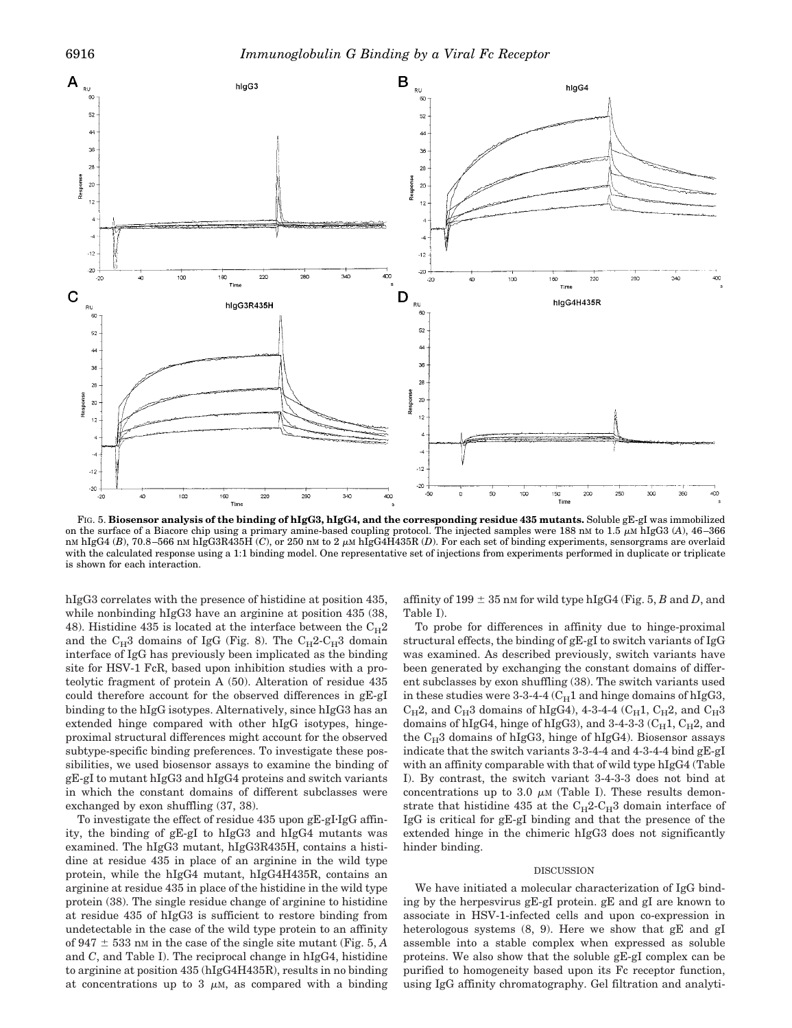

FIG. 5. **Biosensor analysis of the binding of hIgG3, hIgG4, and the corresponding residue 435 mutants.** Soluble gE-gI was immobilized on the surface of a Biacore chip using a primary amine-based coupling protocol. The injected samples were 188 nM to 1.5  $\mu$ M hIgG3 (*A*), 46–366 nM hIgG4 (B), 70.8–566 nM hIgG3R435H (C), or 250 nM to 2  $\mu$ M hIgG4H435R (D). For each set of binding experiments, sensorgrams are overlaid with the calculated response using a 1:1 binding model. One representative set of injections from experiments performed in duplicate or triplicate is shown for each interaction.

hIgG3 correlates with the presence of histidine at position 435, while nonbinding hIgG3 have an arginine at position 435 (38, 48). Histidine 435 is located at the interface between the  $C_{H2}$ and the  $C_H3$  domains of IgG (Fig. 8). The  $C_H2-C_H3$  domain interface of IgG has previously been implicated as the binding site for HSV-1 FcR, based upon inhibition studies with a proteolytic fragment of protein A (50). Alteration of residue 435 could therefore account for the observed differences in gE-gI binding to the hIgG isotypes. Alternatively, since hIgG3 has an extended hinge compared with other hIgG isotypes, hingeproximal structural differences might account for the observed subtype-specific binding preferences. To investigate these possibilities, we used biosensor assays to examine the binding of gE-gI to mutant hIgG3 and hIgG4 proteins and switch variants in which the constant domains of different subclasses were exchanged by exon shuffling (37, 38).

To investigate the effect of residue  $435$  upon gE-gI-IgG affinity, the binding of gE-gI to hIgG3 and hIgG4 mutants was examined. The hIgG3 mutant, hIgG3R435H, contains a histidine at residue 435 in place of an arginine in the wild type protein, while the hIgG4 mutant, hIgG4H435R, contains an arginine at residue 435 in place of the histidine in the wild type protein (38). The single residue change of arginine to histidine at residue 435 of hIgG3 is sufficient to restore binding from undetectable in the case of the wild type protein to an affinity of 947  $\pm$  533 nM in the case of the single site mutant (Fig. 5, *A* and *C*, and Table I). The reciprocal change in hIgG4, histidine to arginine at position 435 (hIgG4H435R), results in no binding at concentrations up to 3  $\mu$ M, as compared with a binding

affinity of 199  $\pm$  35 nm for wild type hIgG4 (Fig. 5, *B* and *D*, and Table I).

To probe for differences in affinity due to hinge-proximal structural effects, the binding of gE-gI to switch variants of IgG was examined. As described previously, switch variants have been generated by exchanging the constant domains of different subclasses by exon shuffling (38). The switch variants used in these studies were 3-3-4-4 ( $C_H1$  and hinge domains of hIgG3,  $C_H2$ , and  $C_H3$  domains of hIgG4), 4-3-4-4 ( $C_H1$ ,  $C_H2$ , and  $C_H3$ domains of hIgG4, hinge of hIgG3), and 3-4-3-3 ( $C_H1$ ,  $C_H2$ , and the  $C_H3$  domains of hIgG3, hinge of hIgG4). Biosensor assays indicate that the switch variants 3-3-4-4 and 4-3-4-4 bind gE-gI with an affinity comparable with that of wild type hIgG4 (Table I). By contrast, the switch variant 3-4-3-3 does not bind at concentrations up to 3.0  $\mu$ M (Table I). These results demonstrate that histidine 435 at the  $C_H2-C_H3$  domain interface of IgG is critical for gE-gI binding and that the presence of the extended hinge in the chimeric hIgG3 does not significantly hinder binding.

## DISCUSSION

We have initiated a molecular characterization of IgG binding by the herpesvirus gE-gI protein. gE and gI are known to associate in HSV-1-infected cells and upon co-expression in heterologous systems (8, 9). Here we show that gE and gI assemble into a stable complex when expressed as soluble proteins. We also show that the soluble gE-gI complex can be purified to homogeneity based upon its Fc receptor function. using IgG affinity chromatography. Gel filtration and analyti-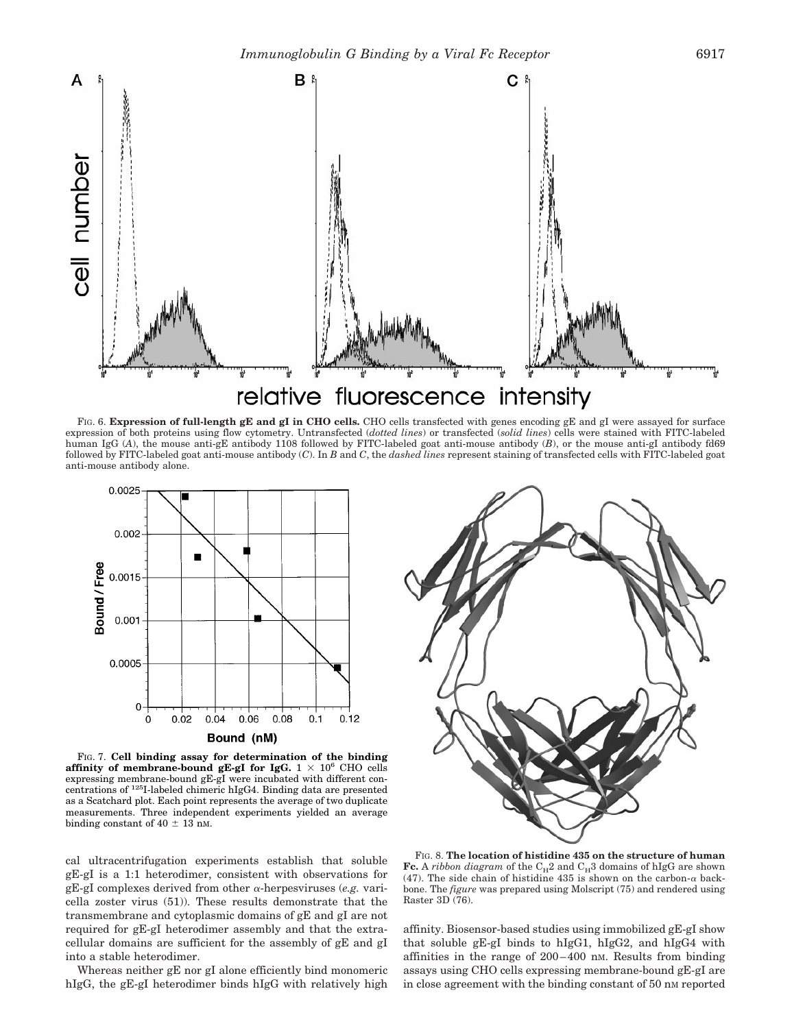

FIG. 6. **Expression of full-length gE and gI in CHO cells.** CHO cells transfected with genes encoding gE and gI were assayed for surface expression of both proteins using flow cytometry. Untransfected (*dotted lines*) or transfected (*solid lines*) cells were stained with FITC-labeled human IgG (*A*), the mouse anti-gE antibody 1108 followed by FITC-labeled goat anti-mouse antibody (*B*), or the mouse anti-gI antibody fd69 followed by FITC-labeled goat anti-mouse antibody (*C*). In *B* and *C*, the *dashed lines* represent staining of transfected cells with FITC-labeled goat anti-mouse antibody alone.



FIG. 7. **Cell binding assay for determination of the binding affinity of membrane-bound gE-gI for IgG.**  $1 \times 10^6$  CHO cells expressing membrane-bound gE-gI were incubated with different concentrations of 125I-labeled chimeric hIgG4. Binding data are presented as a Scatchard plot. Each point represents the average of two duplicate measurements. Three independent experiments yielded an average binding constant of 40  $\pm$  13 nM.

cal ultracentrifugation experiments establish that soluble gE-gI is a 1:1 heterodimer, consistent with observations for gE-gI complexes derived from other <sup>a</sup>-herpesviruses (*e.g.* varicella zoster virus (51)). These results demonstrate that the transmembrane and cytoplasmic domains of gE and gI are not required for gE-gI heterodimer assembly and that the extracellular domains are sufficient for the assembly of gE and gI into a stable heterodimer.

Whereas neither gE nor gI alone efficiently bind monomeric hIgG, the gE-gI heterodimer binds hIgG with relatively high



FIG. 8. **The location of histidine 435 on the structure of human**  ${\bf Fc}.$  A  $ribbon$   $diagram$  of the  $\rm C_{H2}$  and  $\rm C_{H3}$  domains of hIgG are shown (47). The side chain of histidine 435 is shown on the carbon- $\alpha$  backbone. The *figure* was prepared using Molscript (75) and rendered using Raster 3D (76).

affinity. Biosensor-based studies using immobilized gE-gI show that soluble gE-gI binds to hIgG1, hIgG2, and hIgG4 with affinities in the range of 200–400 nM. Results from binding assays using CHO cells expressing membrane-bound gE-gI are in close agreement with the binding constant of 50 nm reported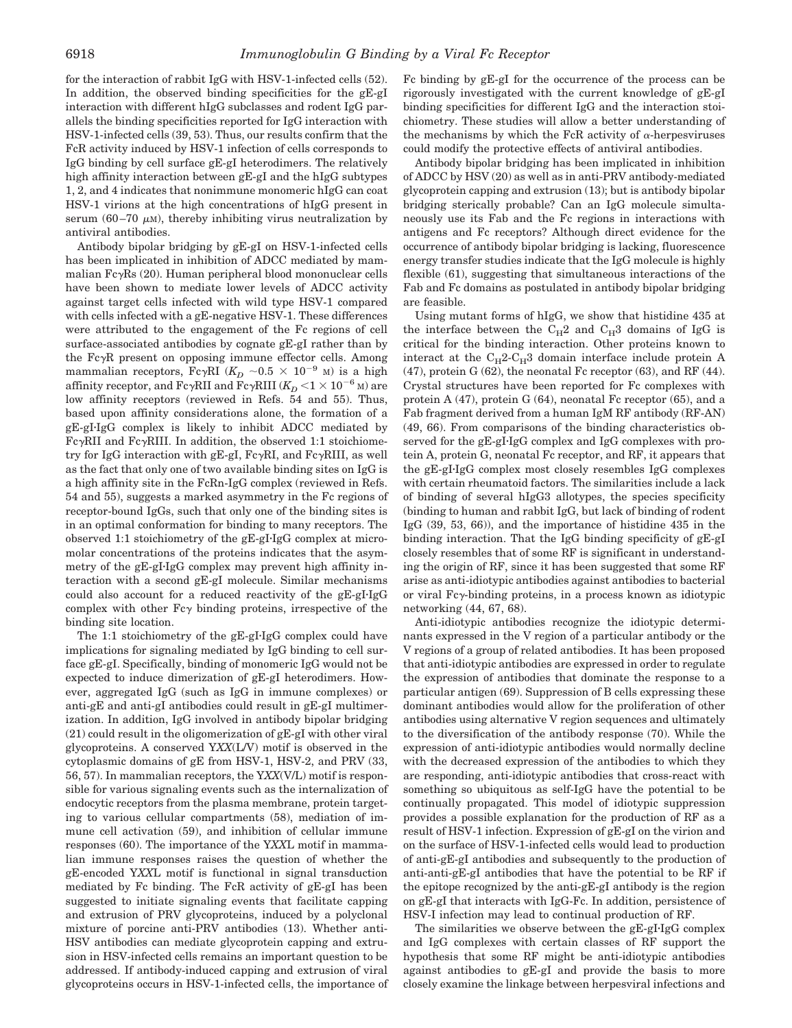for the interaction of rabbit IgG with HSV-1-infected cells (52). In addition, the observed binding specificities for the gE-gI interaction with different hIgG subclasses and rodent IgG parallels the binding specificities reported for IgG interaction with HSV-1-infected cells (39, 53). Thus, our results confirm that the FcR activity induced by HSV-1 infection of cells corresponds to IgG binding by cell surface gE-gI heterodimers. The relatively high affinity interaction between gE-gI and the hIgG subtypes 1, 2, and 4 indicates that nonimmune monomeric hIgG can coat HSV-1 virions at the high concentrations of hIgG present in serum (60–70  $\mu$ M), thereby inhibiting virus neutralization by antiviral antibodies.

Antibody bipolar bridging by gE-gI on HSV-1-infected cells has been implicated in inhibition of ADCC mediated by mammalian  $Fc\gamma Rs$  (20). Human peripheral blood mononuclear cells have been shown to mediate lower levels of ADCC activity against target cells infected with wild type HSV-1 compared with cells infected with a gE-negative HSV-1. These differences were attributed to the engagement of the Fc regions of cell surface-associated antibodies by cognate gE-gI rather than by the FcyR present on opposing immune effector cells. Among mammalian receptors, Fc $\gamma$ RI ( $K_D \sim 0.5 \times 10^{-9}$  M) is a high affinity receptor, and Fc $\gamma$ RII and Fc $\gamma$ RIII ( $K_D < 1 \times 10^{-6}$  <sub>M</sub>) are low affinity receptors (reviewed in Refs. 54 and 55). Thus, based upon affinity considerations alone, the formation of a gE-gI-IgG complex is likely to inhibit ADCC mediated by  $Fc\gamma RII$  and  $Fc\gamma RIII$ . In addition, the observed 1:1 stoichiometry for IgG interaction with gE-gI,  $Fc\gamma RI$ , and  $Fc\gamma RIII$ , as well as the fact that only one of two available binding sites on IgG is a high affinity site in the FcRn-IgG complex (reviewed in Refs. 54 and 55), suggests a marked asymmetry in the Fc regions of receptor-bound IgGs, such that only one of the binding sites is in an optimal conformation for binding to many receptors. The observed 1:1 stoichiometry of the  $gE-gI·IgG$  complex at micromolar concentrations of the proteins indicates that the asymmetry of the gE-gI-IgG complex may prevent high affinity interaction with a second gE-gI molecule. Similar mechanisms could also account for a reduced reactivity of the  $gE-gI·IgG$ complex with other  $Fc\gamma$  binding proteins, irrespective of the binding site location.

The  $1:1$  stoichiometry of the gE-gI-IgG complex could have implications for signaling mediated by IgG binding to cell surface gE-gI. Specifically, binding of monomeric IgG would not be expected to induce dimerization of gE-gI heterodimers. However, aggregated IgG (such as IgG in immune complexes) or anti-gE and anti-gI antibodies could result in gE-gI multimerization. In addition, IgG involved in antibody bipolar bridging (21) could result in the oligomerization of gE-gI with other viral glycoproteins. A conserved Y*XX*(L/V) motif is observed in the cytoplasmic domains of gE from HSV-1, HSV-2, and PRV (33, 56, 57). In mammalian receptors, the Y*XX*(V/L) motif is responsible for various signaling events such as the internalization of endocytic receptors from the plasma membrane, protein targeting to various cellular compartments (58), mediation of immune cell activation (59), and inhibition of cellular immune responses (60). The importance of the Y*XX*L motif in mammalian immune responses raises the question of whether the gE-encoded Y*XX*L motif is functional in signal transduction mediated by Fc binding. The FcR activity of gE-gI has been suggested to initiate signaling events that facilitate capping and extrusion of PRV glycoproteins, induced by a polyclonal mixture of porcine anti-PRV antibodies (13). Whether anti-HSV antibodies can mediate glycoprotein capping and extrusion in HSV-infected cells remains an important question to be addressed. If antibody-induced capping and extrusion of viral glycoproteins occurs in HSV-1-infected cells, the importance of Fc binding by gE-gI for the occurrence of the process can be rigorously investigated with the current knowledge of gE-gI binding specificities for different IgG and the interaction stoichiometry. These studies will allow a better understanding of the mechanisms by which the FcR activity of  $\alpha$ -herpesviruses could modify the protective effects of antiviral antibodies.

Antibody bipolar bridging has been implicated in inhibition of ADCC by HSV (20) as well as in anti-PRV antibody-mediated glycoprotein capping and extrusion (13); but is antibody bipolar bridging sterically probable? Can an IgG molecule simultaneously use its Fab and the Fc regions in interactions with antigens and Fc receptors? Although direct evidence for the occurrence of antibody bipolar bridging is lacking, fluorescence energy transfer studies indicate that the IgG molecule is highly flexible (61), suggesting that simultaneous interactions of the Fab and Fc domains as postulated in antibody bipolar bridging are feasible.

Using mutant forms of hIgG, we show that histidine 435 at the interface between the  $C_H2$  and  $C_H3$  domains of IgG is critical for the binding interaction. Other proteins known to interact at the  $C_{H}2-C_{H}3$  domain interface include protein A (47), protein G (62), the neonatal Fc receptor (63), and RF (44). Crystal structures have been reported for Fc complexes with protein A (47), protein G (64), neonatal Fc receptor (65), and a Fab fragment derived from a human IgM RF antibody (RF-AN) (49, 66). From comparisons of the binding characteristics observed for the  $gE-gI-IgG$  complex and IgG complexes with protein A, protein G, neonatal Fc receptor, and RF, it appears that the gE-gI-IgG complex most closely resembles IgG complexes with certain rheumatoid factors. The similarities include a lack of binding of several hIgG3 allotypes, the species specificity (binding to human and rabbit IgG, but lack of binding of rodent IgG (39, 53, 66)), and the importance of histidine 435 in the binding interaction. That the IgG binding specificity of gE-gI closely resembles that of some RF is significant in understanding the origin of RF, since it has been suggested that some RF arise as anti-idiotypic antibodies against antibodies to bacterial or viral  $Fc\gamma$ -binding proteins, in a process known as idiotypic networking (44, 67, 68).

Anti-idiotypic antibodies recognize the idiotypic determinants expressed in the V region of a particular antibody or the V regions of a group of related antibodies. It has been proposed that anti-idiotypic antibodies are expressed in order to regulate the expression of antibodies that dominate the response to a particular antigen (69). Suppression of B cells expressing these dominant antibodies would allow for the proliferation of other antibodies using alternative V region sequences and ultimately to the diversification of the antibody response (70). While the expression of anti-idiotypic antibodies would normally decline with the decreased expression of the antibodies to which they are responding, anti-idiotypic antibodies that cross-react with something so ubiquitous as self-IgG have the potential to be continually propagated. This model of idiotypic suppression provides a possible explanation for the production of RF as a result of HSV-1 infection. Expression of gE-gI on the virion and on the surface of HSV-1-infected cells would lead to production of anti-gE-gI antibodies and subsequently to the production of anti-anti-gE-gI antibodies that have the potential to be RF if the epitope recognized by the anti-gE-gI antibody is the region on gE-gI that interacts with IgG-Fc. In addition, persistence of HSV-I infection may lead to continual production of RF.

The similarities we observe between the  $gE-gI-IgG$  complex and IgG complexes with certain classes of RF support the hypothesis that some RF might be anti-idiotypic antibodies against antibodies to gE-gI and provide the basis to more closely examine the linkage between herpesviral infections and